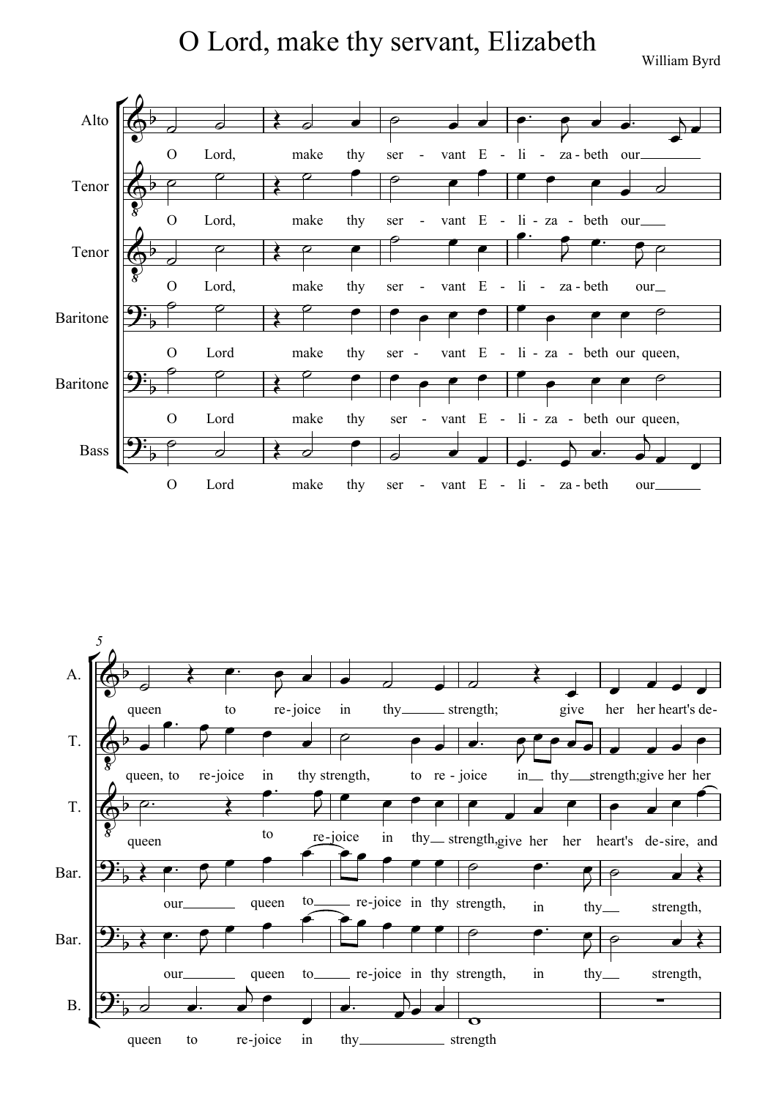O Lord, make thy servant, Elizabeth

William Byrd



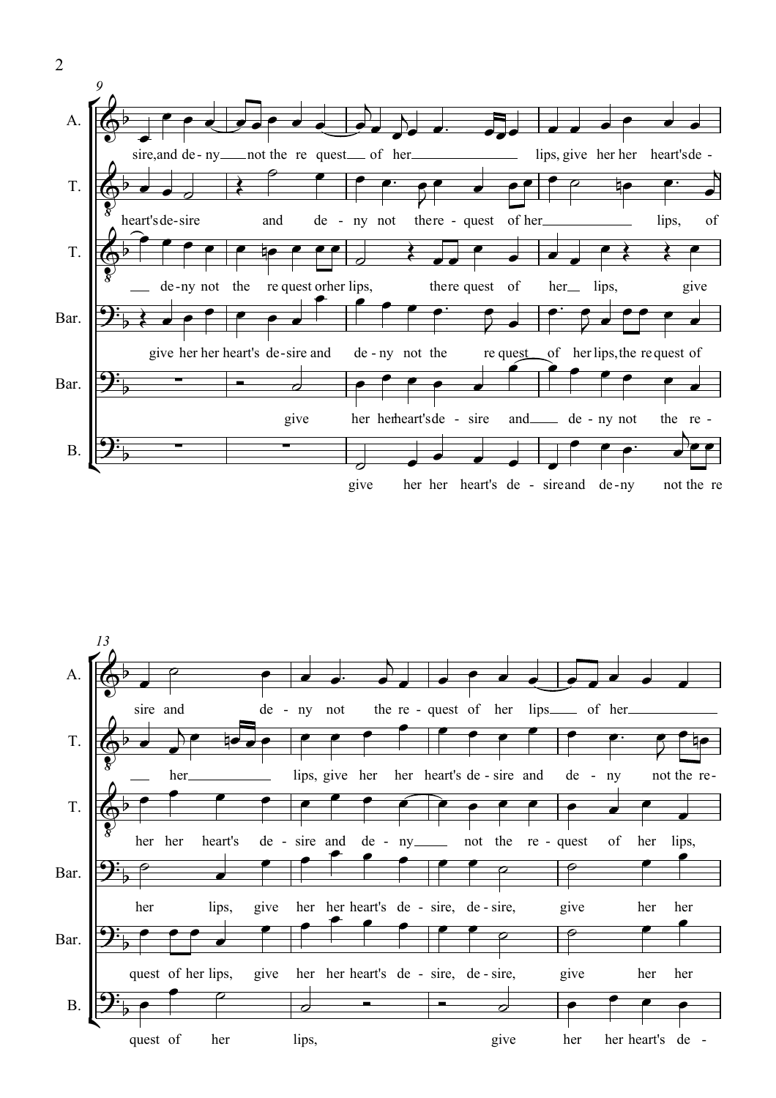



2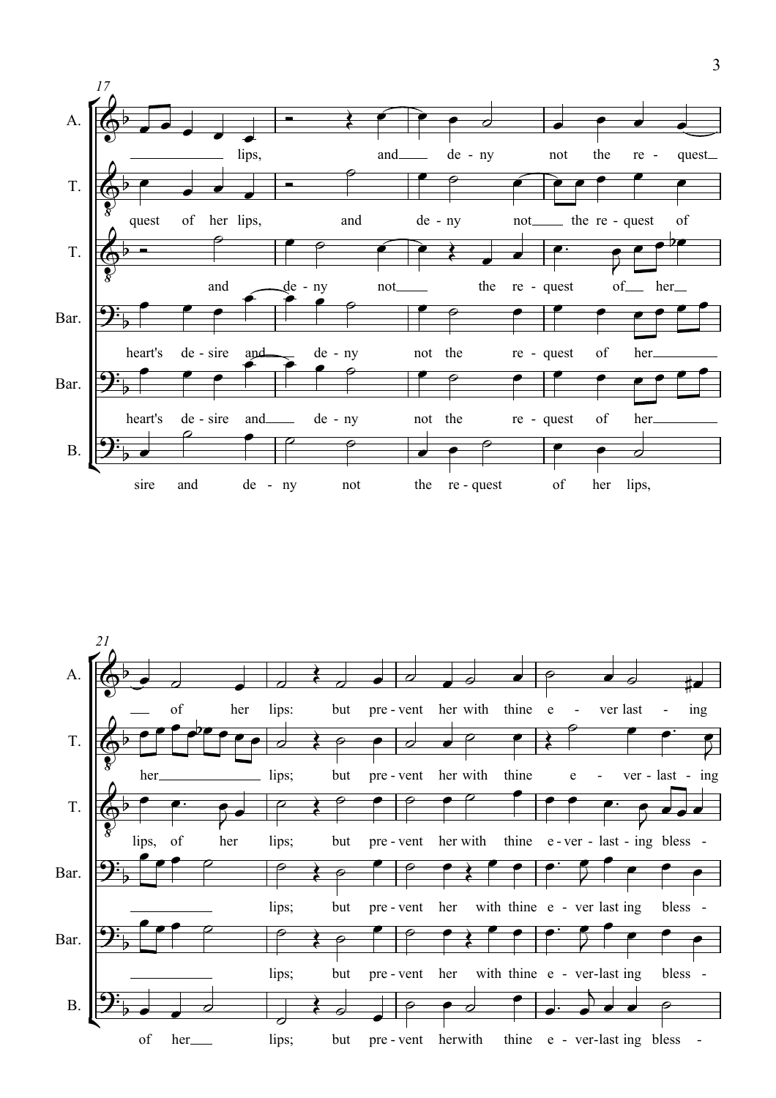

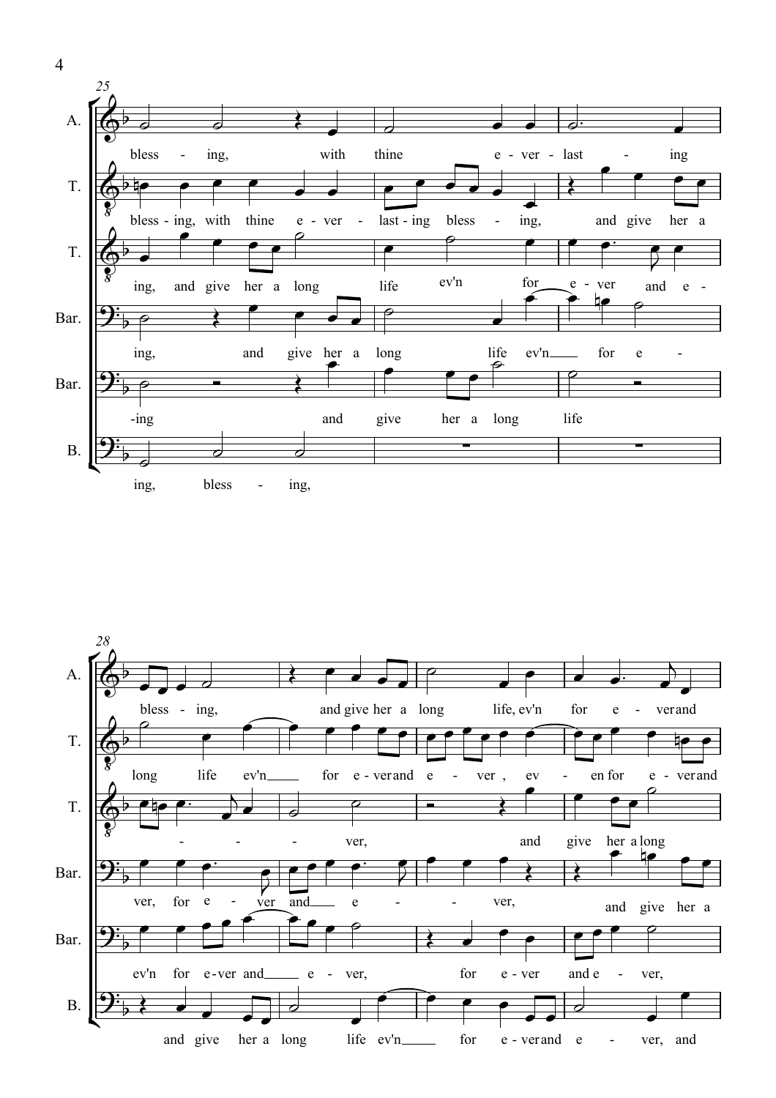



4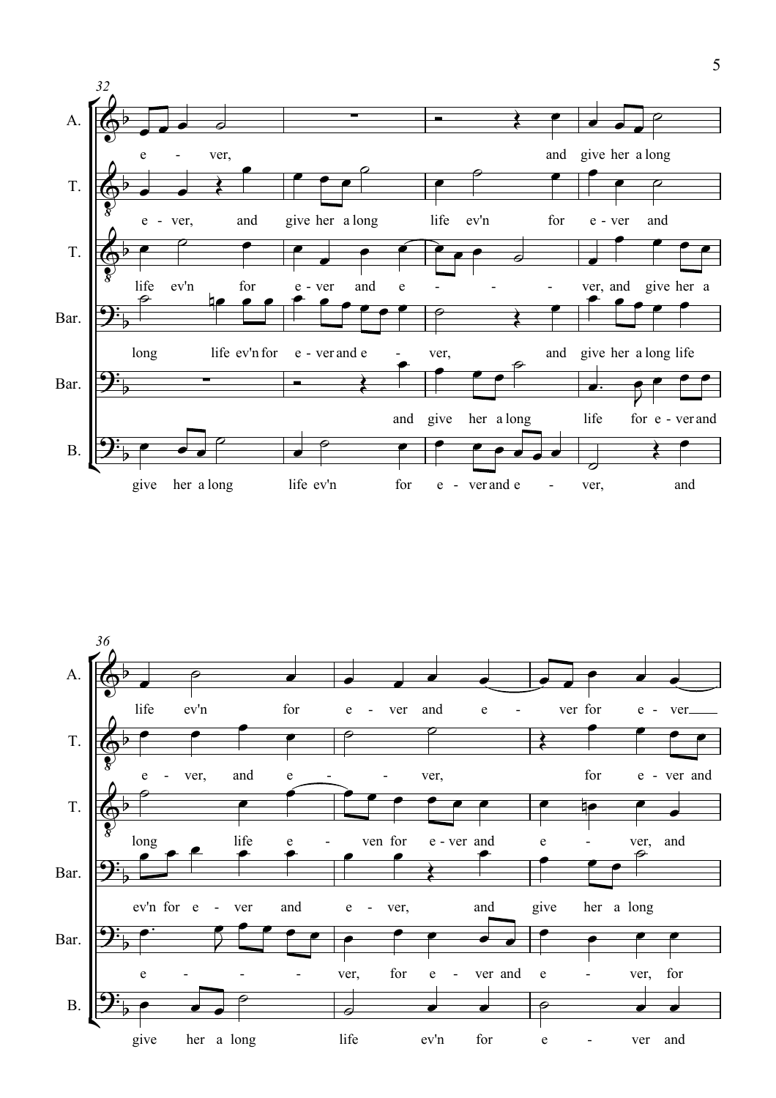